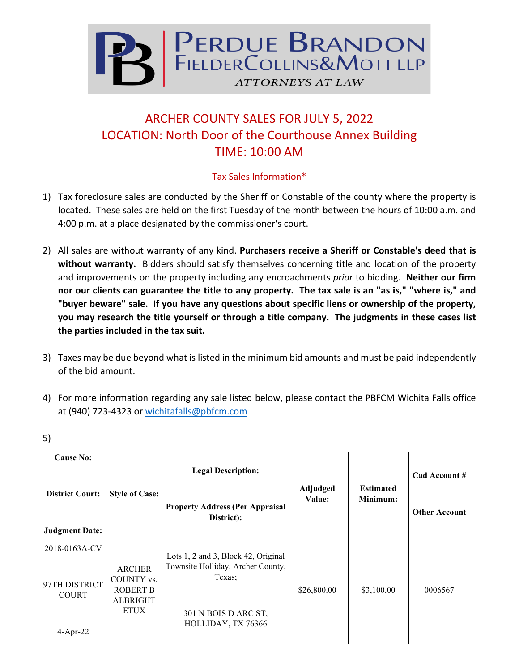

## ARCHER COUNTY SALES FOR JULY 5, 2022 LOCATION: North Door of the Courthouse Annex Building TIME: 10:00 AM

## Tax Sales Information\*

- 1) Tax foreclosure sales are conducted by the Sheriff or Constable of the county where the property is located. These sales are held on the first Tuesday of the month between the hours of 10:00 a.m. and 4:00 p.m. at a place designated by the commissioner's court.
- 2) All sales are without warranty of any kind. **Purchasers receive a Sheriff or Constable's deed that is without warranty.** Bidders should satisfy themselves concerning title and location of the property and improvements on the property including any encroachments *prior* to bidding. **Neither our firm nor our clients can guarantee the title to any property. The tax sale is an "as is," "where is," and "buyer beware" sale. If you have any questions about specific liens or ownership of the property, you may research the title yourself or through a title company. The judgments in these cases list the parties included in the tax suit.**
- 3) Taxes may be due beyond what is listed in the minimum bid amounts and must be paid independently of the bid amount.
- 4) For more information regarding any sale listed below, please contact the PBFCM Wichita Falls office at (940) 723-4323 or [wichitafalls@pbfcm.com](mailto:wichitafalls@pbfcm.com)

| <b>Cause No:</b><br><b>District Court:</b><br>Judgment Date: | <b>Style of Case:</b>                                                            | <b>Legal Description:</b>                                                                                                        | Adjudged<br>Value: | <b>Estimated</b><br>Minimum: | Cad Account #        |
|--------------------------------------------------------------|----------------------------------------------------------------------------------|----------------------------------------------------------------------------------------------------------------------------------|--------------------|------------------------------|----------------------|
|                                                              |                                                                                  | <b>Property Address (Per Appraisal</b><br>District):                                                                             |                    |                              | <b>Other Account</b> |
| 2018-0163A-CV<br>97TH DISTRICT<br><b>COURT</b><br>$4-Apr-22$ | <b>ARCHER</b><br>COUNTY vs.<br><b>ROBERT B</b><br><b>ALBRIGHT</b><br><b>ETUX</b> | Lots 1, 2 and 3, Block 42, Original<br>Townsite Holliday, Archer County,<br>Texas;<br>301 N BOIS D ARC ST,<br>HOLLIDAY, TX 76366 | \$26,800.00        | \$3,100.00                   | 0006567              |

5)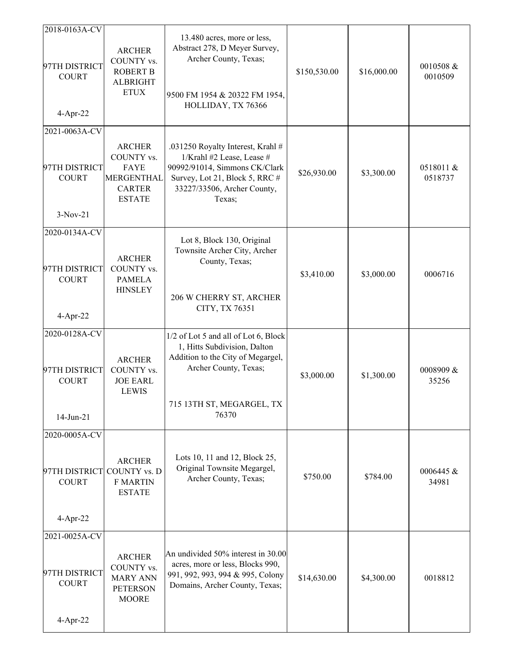| 0518011 &<br>0518737  |
|-----------------------|
|                       |
|                       |
|                       |
| 0006716               |
|                       |
| 0008909 &<br>35256    |
|                       |
| $0006445 \&$<br>34981 |
|                       |
|                       |
|                       |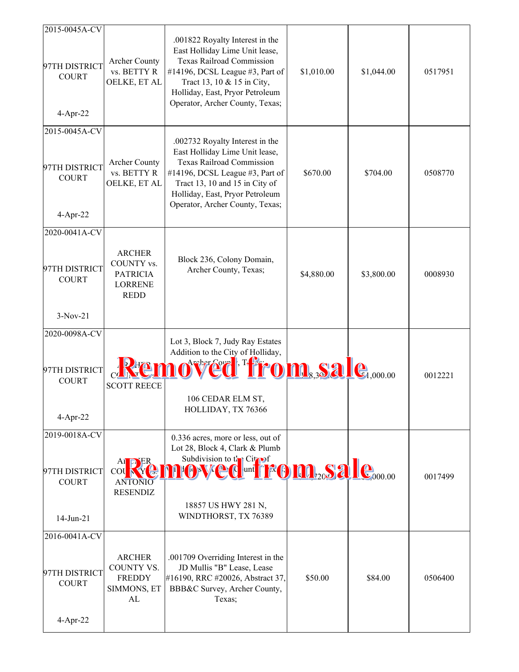| 2015-0045A-CV<br>97TH DISTRICT<br><b>COURT</b><br>$4-Apr-22$ | <b>Archer County</b><br>vs. BETTY R<br>OELKE, ET AL                             | .001822 Royalty Interest in the<br>East Holliday Lime Unit lease,<br><b>Texas Railroad Commission</b><br>#14196, DCSL League #3, Part of<br>Tract 13, 10 & 15 in City,<br>Holliday, East, Pryor Petroleum<br>Operator, Archer County, Texas;     | \$1,010.00                                                                         | \$1,044.00 | 0517951 |
|--------------------------------------------------------------|---------------------------------------------------------------------------------|--------------------------------------------------------------------------------------------------------------------------------------------------------------------------------------------------------------------------------------------------|------------------------------------------------------------------------------------|------------|---------|
| 2015-0045A-CV<br>97TH DISTRICT<br><b>COURT</b><br>$4-Apr-22$ | <b>Archer County</b><br>vs. BETTY R<br>OELKE, ET AL                             | .002732 Royalty Interest in the<br>East Holliday Lime Unit lease,<br><b>Texas Railroad Commission</b><br>#14196, DCSL League #3, Part of<br>Tract 13, 10 and 15 in City of<br>Holliday, East, Pryor Petroleum<br>Operator, Archer County, Texas; | \$670.00                                                                           | \$704.00   | 0508770 |
| 2020-0041A-CV<br>97TH DISTRICT<br><b>COURT</b><br>$3-Nov-21$ | <b>ARCHER</b><br>COUNTY vs.<br><b>PATRICIA</b><br><b>LORRENE</b><br><b>REDD</b> | Block 236, Colony Domain,<br>Archer County, Texas;                                                                                                                                                                                               | \$4,880.00                                                                         | \$3,800.00 | 0008930 |
| 2020-0098A-CV                                                |                                                                                 |                                                                                                                                                                                                                                                  |                                                                                    |            |         |
|                                                              |                                                                                 | Lot 3, Block 7, Judy Ray Estates<br>Addition to the City of Holliday,                                                                                                                                                                            |                                                                                    |            |         |
| 97TH DISTRICT<br><b>COURT</b><br>$4-Apr-22$                  | <b>SCOTT REECE</b>                                                              | <b>sved from, sale</b> ,000.00<br>106 CEDAR ELM ST,<br>HOLLIDAY, TX 76366                                                                                                                                                                        |                                                                                    |            | 0012221 |
| 2019-0018A-CV                                                |                                                                                 | 0.336 acres, more or less, out of                                                                                                                                                                                                                |                                                                                    |            |         |
| 97TH DISTRICT<br><b>COURT</b><br>$14$ -Jun-21                | AI DER<br>COU<br><b>ANTONIO</b><br><b>RESENDIZ</b>                              | Lot 28, Block 4, Clark & Plumb<br>Subdivision to $t_{\text{L}}$ Citrof<br><b>OF A SWAGE</b><br>18857 US HWY 281 N,<br>WINDTHORST, TX 76389                                                                                                       | $\mathbf{I}$ und <b>1:40 M</b> <sub>20</sub> S2 $\mathbf{I}_{\mathbf{C}_{000.00}}$ |            | 0017499 |
| 2016-0041A-CV                                                |                                                                                 |                                                                                                                                                                                                                                                  |                                                                                    |            |         |
| 97TH DISTRICT<br><b>COURT</b><br>4-Apr-22                    | <b>ARCHER</b><br>COUNTY VS.<br><b>FREDDY</b><br>SIMMONS, ET<br>AL               | .001709 Overriding Interest in the<br>JD Mullis "B" Lease, Lease<br>#16190, RRC #20026, Abstract 37,<br>BBB&C Survey, Archer County,<br>Texas;                                                                                                   | \$50.00                                                                            | \$84.00    | 0506400 |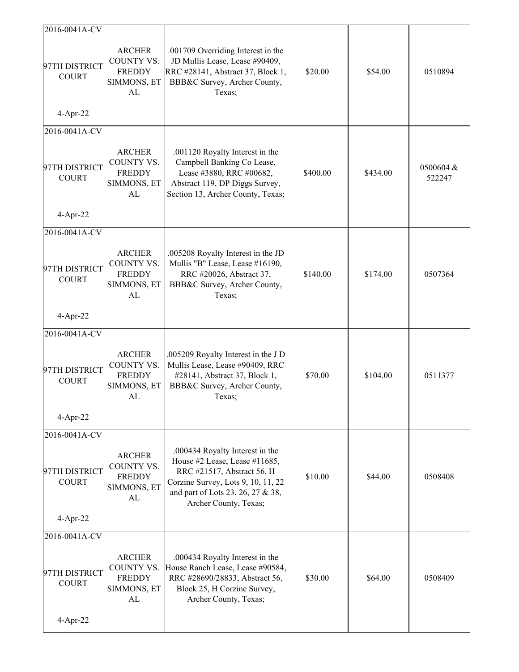| 2016-0041A-CV                                                 |                                                                   |                                                                                                                                                                                                    |          |          |                     |
|---------------------------------------------------------------|-------------------------------------------------------------------|----------------------------------------------------------------------------------------------------------------------------------------------------------------------------------------------------|----------|----------|---------------------|
| 97TH DISTRICT<br><b>COURT</b>                                 | <b>ARCHER</b><br>COUNTY VS.<br><b>FREDDY</b><br>SIMMONS, ET<br>AL | .001709 Overriding Interest in the<br>JD Mullis Lease, Lease #90409,<br>RRC #28141, Abstract 37, Block 1,<br>BBB&C Survey, Archer County,<br>Texas;                                                | \$20.00  | \$54.00  | 0510894             |
| $4-Apr-22$                                                    |                                                                   |                                                                                                                                                                                                    |          |          |                     |
| 2016-0041A-CV<br>97TH DISTRICT<br><b>COURT</b><br>$4-Apr-22$  | <b>ARCHER</b><br>COUNTY VS.<br><b>FREDDY</b><br>SIMMONS, ET<br>AL | .001120 Royalty Interest in the<br>Campbell Banking Co Lease,<br>Lease #3880, RRC #00682,<br>Abstract 119, DP Diggs Survey,<br>Section 13, Archer County, Texas;                                   | \$400.00 | \$434.00 | 0500604 &<br>522247 |
| 2016-0041A-CV                                                 |                                                                   |                                                                                                                                                                                                    |          |          |                     |
| 97TH DISTRICT<br><b>COURT</b><br>$4-Apr-22$                   | <b>ARCHER</b><br>COUNTY VS.<br><b>FREDDY</b><br>SIMMONS, ET<br>AL | .005208 Royalty Interest in the JD<br>Mullis "B" Lease, Lease #16190,<br>RRC #20026, Abstract 37,<br>BBB&C Survey, Archer County,<br>Texas;                                                        | \$140.00 | \$174.00 | 0507364             |
| 2016-0041A-CV                                                 |                                                                   |                                                                                                                                                                                                    |          |          |                     |
| 97TH DISTRICT<br><b>COURT</b><br>$4-Apr-22$                   | <b>ARCHER</b><br>COUNTY VS.<br><b>FREDDY</b><br>SIMMONS, ET<br>AL | .005209 Royalty Interest in the J D<br>Mullis Lease, Lease #90409, RRC<br>#28141, Abstract 37, Block 1,<br>BBB&C Survey, Archer County,<br>Texas;                                                  | \$70.00  | \$104.00 | 0511377             |
| 2016-0041A-CV                                                 |                                                                   |                                                                                                                                                                                                    |          |          |                     |
| 97TH DISTRICT<br><b>COURT</b><br>$4-Apr-22$                   | <b>ARCHER</b><br>COUNTY VS.<br><b>FREDDY</b><br>SIMMONS, ET<br>AL | .000434 Royalty Interest in the<br>House #2 Lease, Lease #11685,<br>RRC #21517, Abstract 56, H<br>Corzine Survey, Lots 9, 10, 11, 22<br>and part of Lots 23, 26, 27 & 38,<br>Archer County, Texas; | \$10.00  | \$44.00  | 0508408             |
|                                                               |                                                                   |                                                                                                                                                                                                    |          |          |                     |
| 2016-0041A-CV<br>97TH DISTRICT<br><b>COURT</b><br>$4$ -Apr-22 | <b>ARCHER</b><br>COUNTY VS.<br><b>FREDDY</b><br>SIMMONS, ET<br>AL | .000434 Royalty Interest in the<br>House Ranch Lease, Lease #90584,<br>RRC #28690/28833, Abstract 56,<br>Block 25, H Corzine Survey,<br>Archer County, Texas;                                      | \$30.00  | \$64.00  | 0508409             |